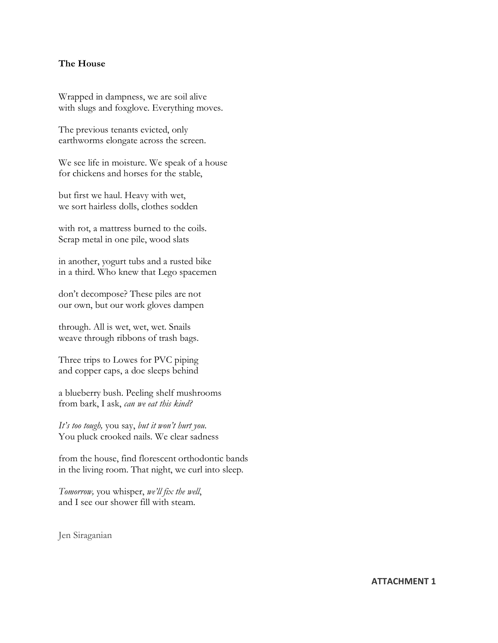## **The House**

Wrapped in dampness, we are soil alive with slugs and foxglove. Everything moves.

The previous tenants evicted, only earthworms elongate across the screen.

We see life in moisture. We speak of a house for chickens and horses for the stable,

but first we haul. Heavy with wet, we sort hairless dolls, clothes sodden

with rot, a mattress burned to the coils. Scrap metal in one pile, wood slats

in another, yogurt tubs and a rusted bike in a third. Who knew that Lego spacemen

don't decompose? These piles are not our own, but our work gloves dampen

through. All is wet, wet, wet. Snails weave through ribbons of trash bags.

Three trips to Lowes for PVC piping and copper caps, a doe sleeps behind

a blueberry bush. Peeling shelf mushrooms from bark, I ask, *can we eat this kind?*

*It's too tough,* you say, *but it won't hurt you*. You pluck crooked nails. We clear sadness

from the house, find florescent orthodontic bands in the living room. That night, we curl into sleep.

*Tomorrow,* you whisper, *we'll fix the well*, and I see our shower fill with steam.

Jen Siraganian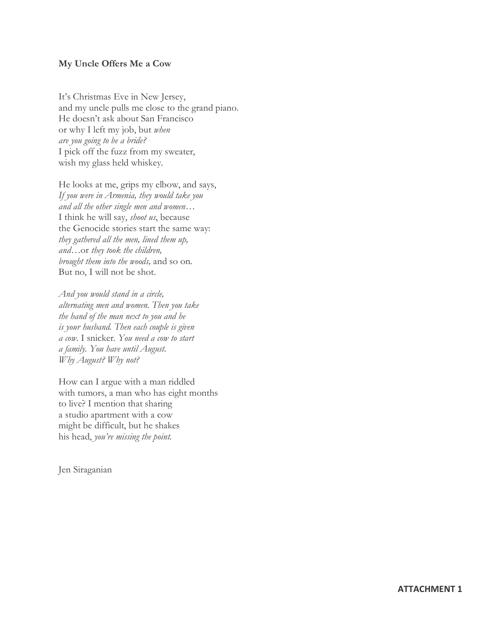## **My Uncle Offers Me a Cow**

It's Christmas Eve in New Jersey, and my uncle pulls me close to the grand piano. He doesn't ask about San Francisco or why I left my job, but *when are you going to be a bride?* I pick off the fuzz from my sweater, wish my glass held whiskey.

He looks at me, grips my elbow, and says, *If you were in Armenia, they would take you and all the other single men and women…* I think he will say, *shoot us*, because the Genocide stories start the same way: *they gathered all the men, lined them up, and…*or *they took the children, brought them into the woods,* and so on. But no, I will not be shot.

*And you would stand in a circle, alternating men and women. Then you take the hand of the man next to you and he is your husband. Then each couple is given a cow.* I snicker. *You need a cow to start a family. You have until August. Why August? Why not?* 

How can I argue with a man riddled with tumors, a man who has eight months to live? I mention that sharing a studio apartment with a cow might be difficult, but he shakes his head, *you're missing the point.*

Jen Siraganian